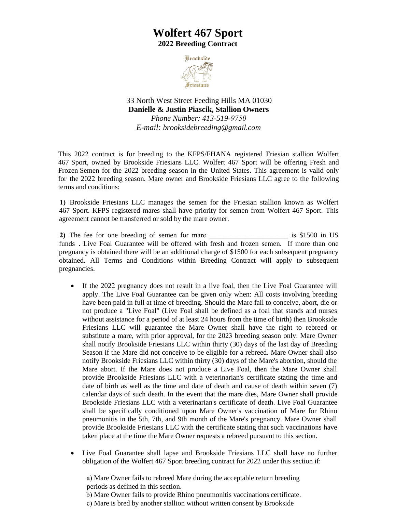## **Wolfert 467 Sport 2022 Breeding Contract**



33 North West Street Feeding Hills MA 01030 **Danielle & Justin Piascik, Stallion Owners**  *Phone Number: 413-519-9750 E-mail: [brooksidebreeding@gmail.com](mailto:brooksidebreeding@gmail.com)*

This 2022 contract is for breeding to the KFPS/FHANA registered Friesian stallion Wolfert 467 Sport, owned by Brookside Friesians LLC. Wolfert 467 Sport will be offering Fresh and Frozen Semen for the 2022 breeding season in the United States. This agreement is valid only for the 2022 breeding season. Mare owner and Brookside Friesians LLC agree to the following terms and conditions:

**1)** Brookside Friesians LLC manages the semen for the Friesian stallion known as Wolfert 467 Sport. KFPS registered mares shall have priority for semen from Wolfert 467 Sport. This agreement cannot be transferred or sold by the mare owner.

**2)** The fee for one breeding of semen for mare \_\_\_\_\_\_\_\_\_\_\_\_\_\_\_\_\_\_\_\_\_\_ is \$1500 in US funds . Live Foal Guarantee will be offered with fresh and frozen semen. If more than one pregnancy is obtained there will be an additional charge of \$1500 for each subsequent pregnancy obtained. All Terms and Conditions within Breeding Contract will apply to subsequent pregnancies.

- If the 2022 pregnancy does not result in a live foal, then the Live Foal Guarantee will apply. The Live Foal Guarantee can be given only when: All costs involving breeding have been paid in full at time of breeding. Should the Mare fail to conceive, abort, die or not produce a "Live Foal" (Live Foal shall be defined as a foal that stands and nurses without assistance for a period of at least 24 hours from the time of birth) then Brookside Friesians LLC will guarantee the Mare Owner shall have the right to rebreed or substitute a mare, with prior approval, for the 2023 breeding season only. Mare Owner shall notify Brookside Friesians LLC within thirty (30) days of the last day of Breeding Season if the Mare did not conceive to be eligible for a rebreed. Mare Owner shall also notify Brookside Friesians LLC within thirty (30) days of the Mare's abortion, should the Mare abort. If the Mare does not produce a Live Foal, then the Mare Owner shall provide Brookside Friesians LLC with a veterinarian's certificate stating the time and date of birth as well as the time and date of death and cause of death within seven (7) calendar days of such death. In the event that the mare dies, Mare Owner shall provide Brookside Friesians LLC with a veterinarian's certificate of death. Live Foal Guarantee shall be specifically conditioned upon Mare Owner's vaccination of Mare for Rhino pneumonitis in the 5th, 7th, and 9th month of the Mare's pregnancy. Mare Owner shall provide Brookside Friesians LLC with the certificate stating that such vaccinations have taken place at the time the Mare Owner requests a rebreed pursuant to this section.
- Live Foal Guarantee shall lapse and Brookside Friesians LLC shall have no further obligation of the Wolfert 467 Sport breeding contract for 2022 under this section if:

a) Mare Owner fails to rebreed Mare during the acceptable return breeding periods as defined in this section.

b) Mare Owner fails to provide Rhino pneumonitis vaccinations certificate.

c) Mare is bred by another stallion without written consent by Brookside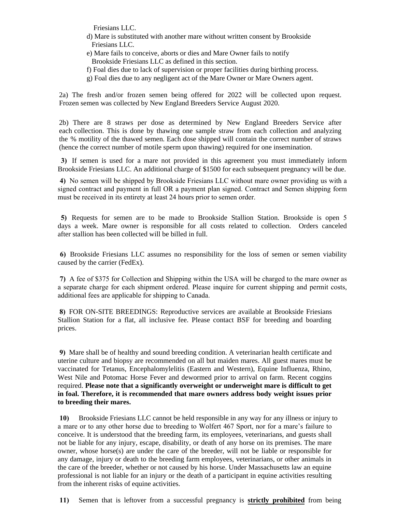Friesians LLC.

- d) Mare is substituted with another mare without written consent by Brookside Friesians LLC.
- e) Mare fails to conceive, aborts or dies and Mare Owner fails to notify Brookside Friesians LLC as defined in this section.
- f) Foal dies due to lack of supervision or proper facilities during birthing process.
- g) Foal dies due to any negligent act of the Mare Owner or Mare Owners agent.

2a) The fresh and/or frozen semen being offered for 2022 will be collected upon request. Frozen semen was collected by New England Breeders Service August 2020.

2b) There are 8 straws per dose as determined by New England Breeders Service after each collection. This is done by thawing one sample straw from each collection and analyzing the % motility of the thawed semen. Each dose shipped will contain the correct number of straws (hence the correct number of motile sperm upon thawing) required for one insemination.

**3)** If semen is used for a mare not provided in this agreement you must immediately inform Brookside Friesians LLC. An additional charge of \$1500 for each subsequent pregnancy will be due.

**4)** No semen will be shipped by Brookside Friesians LLC without mare owner providing us with a signed contract and payment in full OR a payment plan signed. Contract and Semen shipping form must be received in its entirety at least 24 hours prior to semen order.

**5)** Requests for semen are to be made to Brookside Stallion Station. Brookside is open 5 days a week. Mare owner is responsible for all costs related to collection. Orders canceled after stallion has been collected will be billed in full.

**6)** Brookside Friesians LLC assumes no responsibility for the loss of semen or semen viability caused by the carrier (FedEx).

**7)** A fee of \$375 for Collection and Shipping within the USA will be charged to the mare owner as a separate charge for each shipment ordered. Please inquire for current shipping and permit costs, additional fees are applicable for shipping to Canada.

**8)** FOR ON-SITE BREEDINGS: Reproductive services are available at Brookside Friesians Stallion Station for a flat, all inclusive fee. Please contact BSF for breeding and boarding prices.

**9)** Mare shall be of healthy and sound breeding condition. A veterinarian health certificate and uterine culture and biopsy are recommended on all but maiden mares. All guest mares must be vaccinated for Tetanus, Encephalomylelitis (Eastern and Western), Equine Influenza, Rhino, West Nile and Potomac Horse Fever and dewormed prior to arrival on farm. Recent coggins required. **Please note that a significantly overweight or underweight mare is difficult to get in foal. Therefore, it is recommended that mare owners address body weight issues prior to breeding their mares.**

**10)** Brookside Friesians LLC cannot be held responsible in any way for any illness or injury to a mare or to any other horse due to breeding to Wolfert 467 Sport, nor for a mare's failure to conceive. It is understood that the breeding farm, its employees, veterinarians, and guests shall not be liable for any injury, escape, disability, or death of any horse on its premises. The mare owner, whose horse(s) are under the care of the breeder, will not be liable or responsible for any damage, injury or death to the breeding farm employees, veterinarians, or other animals in the care of the breeder, whether or not caused by his horse. Under Massachusetts law an equine professional is not liable for an injury or the death of a participant in equine activities resulting from the inherent risks of equine activities.

**11)** Semen that is leftover from a successful pregnancy is **strictly prohibited** from being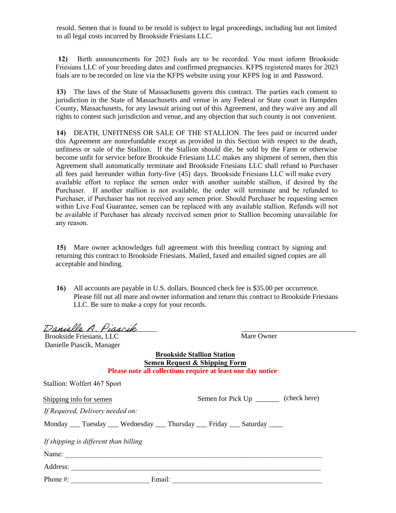resold. Semen that is found to be resold is subject to legal proceedings, including but not limited to all legal costs incurred by Brookside Friesians LLC.

**12)** Birth announcements for 2023 foals are to be recorded. You must inform Brookside Friesians LLC of your breeding dates and confirmed pregnancies. KFPS registered mares for 2023 foals are to be recorded on line via the KFPS website using your KFPS log in and Password.

**13)** The laws of the State of Massachusetts govern this contract. The parties each consent to jurisdiction in the State of Massachusetts and venue in any Federal or State court in Hampden County, Massachusetts, for any lawsuit arising out of this Agreement, and they waive any and all rights to contest such jurisdiction and venue, and any objection that such county is not convenient.

**14)** DEATH, UNFITNESS OR SALE OF THE STALLION. The fees paid or incurred under this Agreement are nonrefundable except as provided in this Section with respect to the death, unfitness or sale of the Stallion. If the Stallion should die, be sold by the Farm or otherwise become unfit for service before Brookside Friesians LLC makes any shipment of semen, then this Agreement shall automatically terminate and Brookside Friesians LLC shall refund to Purchaser all fees paid hereunder within forty-five (45) days. Brookside Friesians LLC will make every available effort to replace the semen order with another suitable stallion, if desired by the Purchaser. If another stallion is not available, the order will terminate and be refunded to Purchaser, if Purchaser has not received any semen prior. Should Purchaser be requesting semen within Live Foal Guarantee, semen can be replaced with any available stallion. Refunds will not be available if Purchaser has already received semen prior to Stallion becoming unavailable for any reason.

**15)** Mare owner acknowledges full agreement with this breeding contract by signing and returning this contract to Brookside Friesians. Mailed, faxed and emailed signed copies are all acceptable and binding.

**16)** All accounts are payable in U.S. dollars. Bounced check fee is \$35.00 per occurrence. Please fill out all mare and owner information and return this contract to Brookside Friesians LLC. Be sure to make a copy for your records.

Danielle A. Piascik

Brookside Friesians, LLC Danielle Piascik, Manager

Stallion: Wolfert 467 Sport

Mare Owner

**Brookside Stallion Station Semen Request & Shipping Form Please note all collections require at least one day notice**

| Shipping info for semen               | (check here)<br>Semen for Pick Up _________                                           |
|---------------------------------------|---------------------------------------------------------------------------------------|
| If Required, Delivery needed on:      |                                                                                       |
|                                       | Monday _____ Tuesday _____ Wednesday _____ Thursday _____ Friday _____ Saturday _____ |
| If shipping is different than billing |                                                                                       |
| Name:                                 |                                                                                       |
| Address:                              |                                                                                       |
| Phone $#$ :                           | Email:                                                                                |